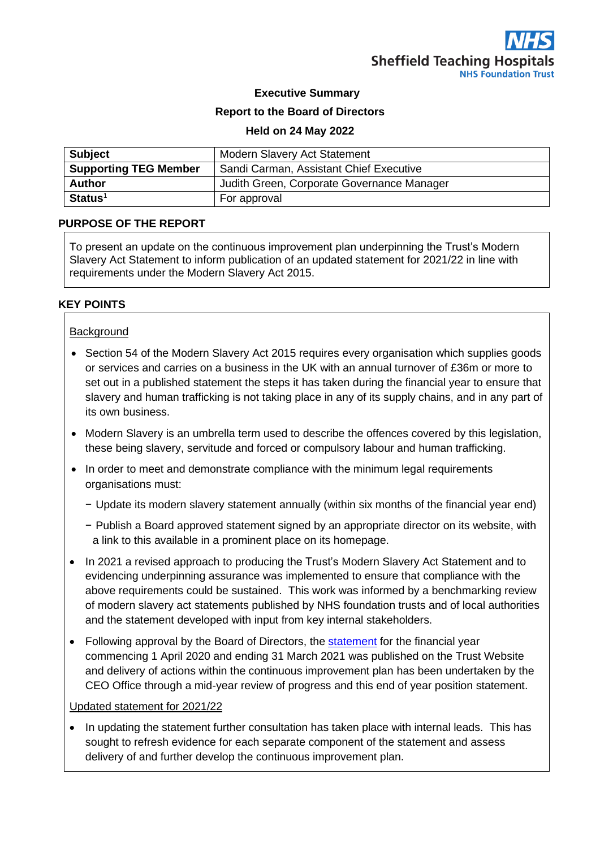### **Executive Summary**

#### **Report to the Board of Directors**

#### **Held on 24 May 2022**

| <b>Subject</b>               | <b>Modern Slavery Act Statement</b>        |  |
|------------------------------|--------------------------------------------|--|
| <b>Supporting TEG Member</b> | Sandi Carman, Assistant Chief Executive    |  |
| <b>Author</b>                | Judith Green, Corporate Governance Manager |  |
| $Status1$                    | For approval                               |  |

#### **PURPOSE OF THE REPORT**

To present an update on the continuous improvement plan underpinning the Trust's Modern Slavery Act Statement to inform publication of an updated statement for 2021/22 in line with requirements under the Modern Slavery Act 2015.

### **KEY POINTS**

#### **Background**

- Section 54 of the Modern Slavery Act 2015 requires every organisation which supplies goods or services and carries on a business in the UK with an annual turnover of £36m or more to set out in a published statement the steps it has taken during the financial year to ensure that slavery and human trafficking is not taking place in any of its supply chains, and in any part of its own business.
- Modern Slavery is an umbrella term used to describe the offences covered by this legislation, these being slavery, servitude and forced or compulsory labour and human trafficking.
- In order to meet and demonstrate compliance with the minimum legal requirements organisations must:
	- − Update its modern slavery statement annually (within six months of the financial year end)
	- − Publish a Board approved statement signed by an appropriate director on its website, with a link to this available in a prominent place on its homepage.
- In 2021 a revised approach to producing the Trust's Modern Slavery Act Statement and to evidencing underpinning assurance was implemented to ensure that compliance with the above requirements could be sustained. This work was informed by a benchmarking review of modern slavery act statements published by NHS foundation trusts and of local authorities and the statement developed with input from key internal stakeholders.
- Following approval by the Board of Directors, the [statement](https://www.sth.nhs.uk/about-us/modern-slavery-act-statement) for the financial year commencing 1 April 2020 and ending 31 March 2021 was published on the Trust Website and delivery of actions within the continuous improvement plan has been undertaken by the CEO Office through a mid-year review of progress and this end of year position statement.

#### Updated statement for 2021/22

• In updating the statement further consultation has taken place with internal leads. This has sought to refresh evidence for each separate component of the statement and assess delivery of and further develop the continuous improvement plan.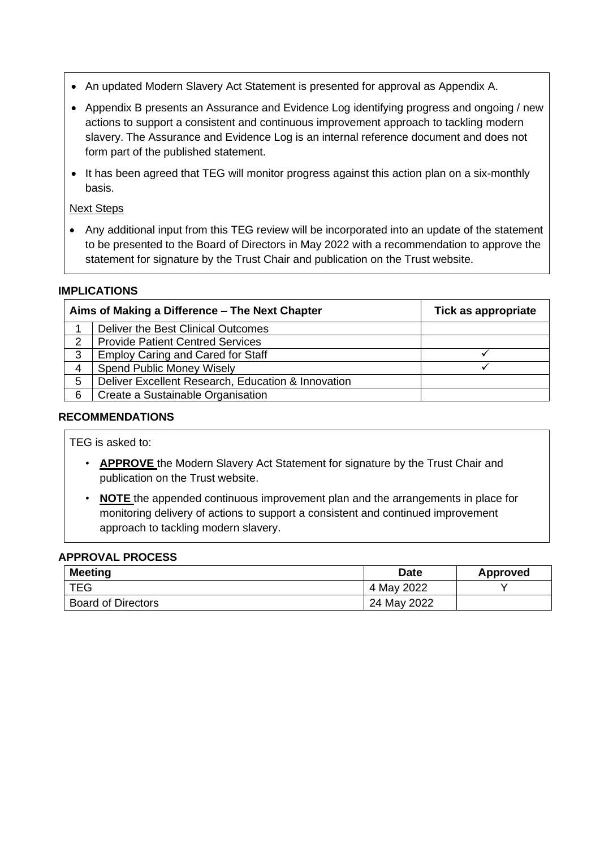- An updated Modern Slavery Act Statement is presented for approval as Appendix A.
- Appendix B presents an Assurance and Evidence Log identifying progress and ongoing / new actions to support a consistent and continuous improvement approach to tackling modern slavery. The Assurance and Evidence Log is an internal reference document and does not form part of the published statement.
- It has been agreed that TEG will monitor progress against this action plan on a six-monthly basis.

# Next Steps

• Any additional input from this TEG review will be incorporated into an update of the statement to be presented to the Board of Directors in May 2022 with a recommendation to approve the statement for signature by the Trust Chair and publication on the Trust website.

# **IMPLICATIONS**

|   | Aims of Making a Difference - The Next Chapter     | Tick as appropriate |
|---|----------------------------------------------------|---------------------|
|   | Deliver the Best Clinical Outcomes                 |                     |
| 2 | <b>Provide Patient Centred Services</b>            |                     |
| 3 | <b>Employ Caring and Cared for Staff</b>           |                     |
| 4 | <b>Spend Public Money Wisely</b>                   |                     |
| 5 | Deliver Excellent Research, Education & Innovation |                     |
| 6 | Create a Sustainable Organisation                  |                     |

### **RECOMMENDATIONS**

TEG is asked to:

- **APPROVE** the Modern Slavery Act Statement for signature by the Trust Chair and publication on the Trust website.
- **NOTE** the appended continuous improvement plan and the arrangements in place for monitoring delivery of actions to support a consistent and continued improvement approach to tackling modern slavery.

### **APPROVAL PROCESS**

| <b>Meeting</b>            | <b>Date</b> | Approved |
|---------------------------|-------------|----------|
| <b>TEG</b>                | 4 May 2022  |          |
| <b>Board of Directors</b> | 24 May 2022 |          |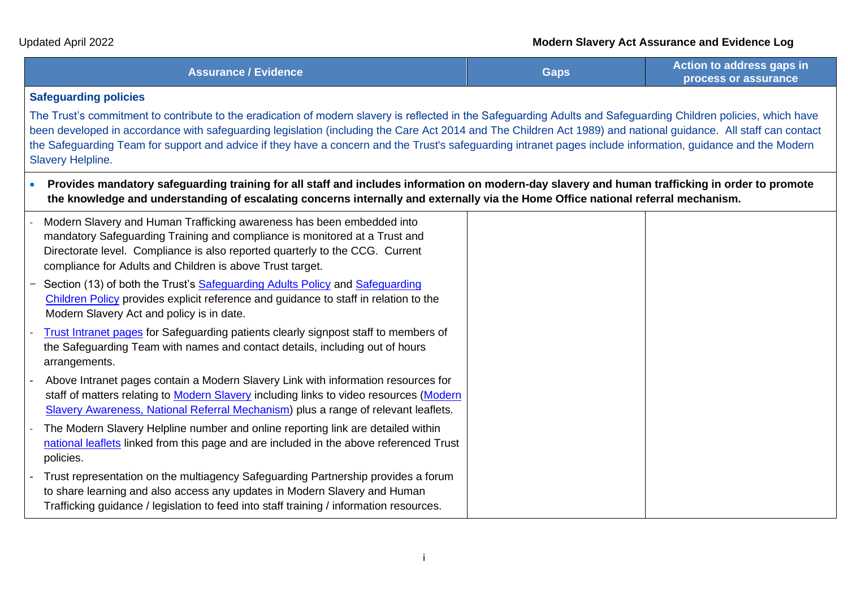| <b>Assurance / Evidence</b> | Action to address gaps in   |
|-----------------------------|-----------------------------|
| <b>Gaps</b>                 | <b>process or assurance</b> |

### **Safeguarding policies**

The Trust's commitment to contribute to the eradication of modern slavery is reflected in the Safeguarding Adults and Safeguarding Children policies, which have been developed in accordance with safeguarding legislation (including the Care Act 2014 and The Children Act 1989) and national guidance. All staff can contact the Safeguarding Team for support and advice if they have a concern and the Trust's safeguarding intranet pages include information, guidance and the Modern Slavery Helpline.

| Provides mandatory safeguarding training for all staff and includes information on modern-day slavery and human trafficking in order to promote |
|-------------------------------------------------------------------------------------------------------------------------------------------------|
| the knowledge and understanding of escalating concerns internally and externally via the Home Office national referral mechanism.               |

|                   | Modern Slavery and Human Trafficking awareness has been embedded into<br>mandatory Safeguarding Training and compliance is monitored at a Trust and<br>Directorate level. Compliance is also reported quarterly to the CCG. Current<br>compliance for Adults and Children is above Trust target. |
|-------------------|--------------------------------------------------------------------------------------------------------------------------------------------------------------------------------------------------------------------------------------------------------------------------------------------------|
| $\qquad \qquad -$ | Section (13) of both the Trust's Safeguarding Adults Policy and Safeguarding<br>Children Policy provides explicit reference and guidance to staff in relation to the<br>Modern Slavery Act and policy is in date.                                                                                |
|                   | <b>Trust Intranet pages for Safeguarding patients clearly signpost staff to members of</b><br>the Safeguarding Team with names and contact details, including out of hours<br>arrangements.                                                                                                      |
|                   | Above Intranet pages contain a Modern Slavery Link with information resources for<br>staff of matters relating to <b>Modern Slavery</b> including links to video resources (Modern<br>Slavery Awareness, National Referral Mechanism) plus a range of relevant leaflets.                         |
|                   | The Modern Slavery Helpline number and online reporting link are detailed within<br>national leaflets linked from this page and are included in the above referenced Trust<br>policies.                                                                                                          |
|                   | - Trust representation on the multiagency Safeguarding Partnership provides a forum<br>to share learning and also access any updates in Modern Slavery and Human<br>Trafficking guidance / legislation to feed into staff training / information resources.                                      |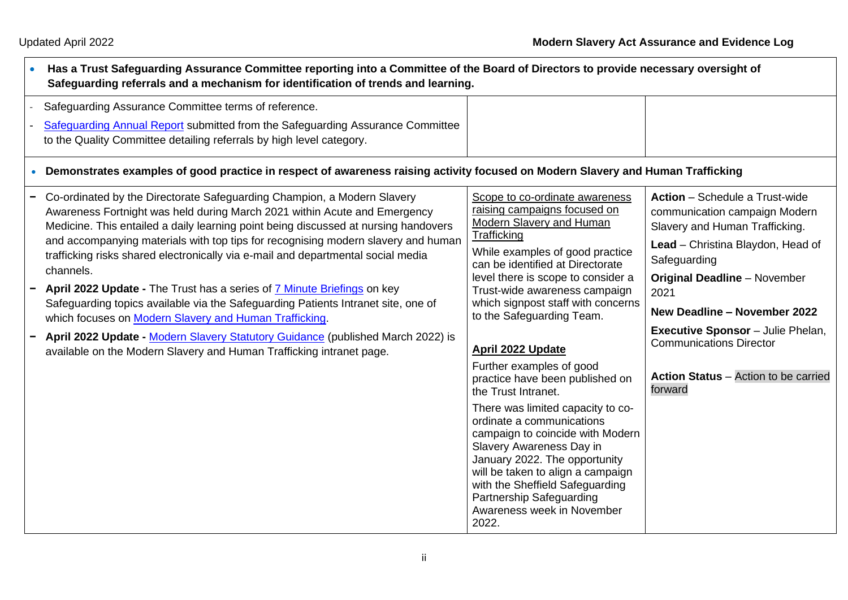| Has a Trust Safeguarding Assurance Committee reporting into a Committee of the Board of Directors to provide necessary oversight of<br>Safeguarding referrals and a mechanism for identification of trends and learning.                                                                                                                                                                                                                                                                                                                                                                                                                                                                                                                                                                                               |                                                                                                                                                                                                                                                                                                                                                                                                                                                                                                                                                                                                                                                                                                                                                            |                                                                                                                                                                                                                                                                                                                                                                                      |
|------------------------------------------------------------------------------------------------------------------------------------------------------------------------------------------------------------------------------------------------------------------------------------------------------------------------------------------------------------------------------------------------------------------------------------------------------------------------------------------------------------------------------------------------------------------------------------------------------------------------------------------------------------------------------------------------------------------------------------------------------------------------------------------------------------------------|------------------------------------------------------------------------------------------------------------------------------------------------------------------------------------------------------------------------------------------------------------------------------------------------------------------------------------------------------------------------------------------------------------------------------------------------------------------------------------------------------------------------------------------------------------------------------------------------------------------------------------------------------------------------------------------------------------------------------------------------------------|--------------------------------------------------------------------------------------------------------------------------------------------------------------------------------------------------------------------------------------------------------------------------------------------------------------------------------------------------------------------------------------|
| Safeguarding Assurance Committee terms of reference.<br>Safequarding Annual Report submitted from the Safeguarding Assurance Committee<br>to the Quality Committee detailing referrals by high level category.<br>• Demonstrates examples of good practice in respect of awareness raising activity focused on Modern Slavery and Human Trafficking                                                                                                                                                                                                                                                                                                                                                                                                                                                                    |                                                                                                                                                                                                                                                                                                                                                                                                                                                                                                                                                                                                                                                                                                                                                            |                                                                                                                                                                                                                                                                                                                                                                                      |
| Co-ordinated by the Directorate Safeguarding Champion, a Modern Slavery<br>Awareness Fortnight was held during March 2021 within Acute and Emergency<br>Medicine. This entailed a daily learning point being discussed at nursing handovers<br>and accompanying materials with top tips for recognising modern slavery and human<br>trafficking risks shared electronically via e-mail and departmental social media<br>channels.<br>April 2022 Update - The Trust has a series of 7 Minute Briefings on key<br>Safeguarding topics available via the Safeguarding Patients Intranet site, one of<br>which focuses on Modern Slavery and Human Trafficking.<br>April 2022 Update - Modern Slavery Statutory Guidance (published March 2022) is<br>available on the Modern Slavery and Human Trafficking intranet page. | Scope to co-ordinate awareness<br>raising campaigns focused on<br>Modern Slavery and Human<br>Trafficking<br>While examples of good practice<br>can be identified at Directorate<br>level there is scope to consider a<br>Trust-wide awareness campaign<br>which signpost staff with concerns<br>to the Safeguarding Team.<br><b>April 2022 Update</b><br>Further examples of good<br>practice have been published on<br>the Trust Intranet.<br>There was limited capacity to co-<br>ordinate a communications<br>campaign to coincide with Modern<br>Slavery Awareness Day in<br>January 2022. The opportunity<br>will be taken to align a campaign<br>with the Sheffield Safeguarding<br>Partnership Safeguarding<br>Awareness week in November<br>2022. | <b>Action</b> – Schedule a Trust-wide<br>communication campaign Modern<br>Slavery and Human Trafficking.<br>Lead - Christina Blaydon, Head of<br>Safeguarding<br><b>Original Deadline - November</b><br>2021<br><b>New Deadline - November 2022</b><br><b>Executive Sponsor</b> - Julie Phelan,<br><b>Communications Director</b><br>Action Status - Action to be carried<br>forward |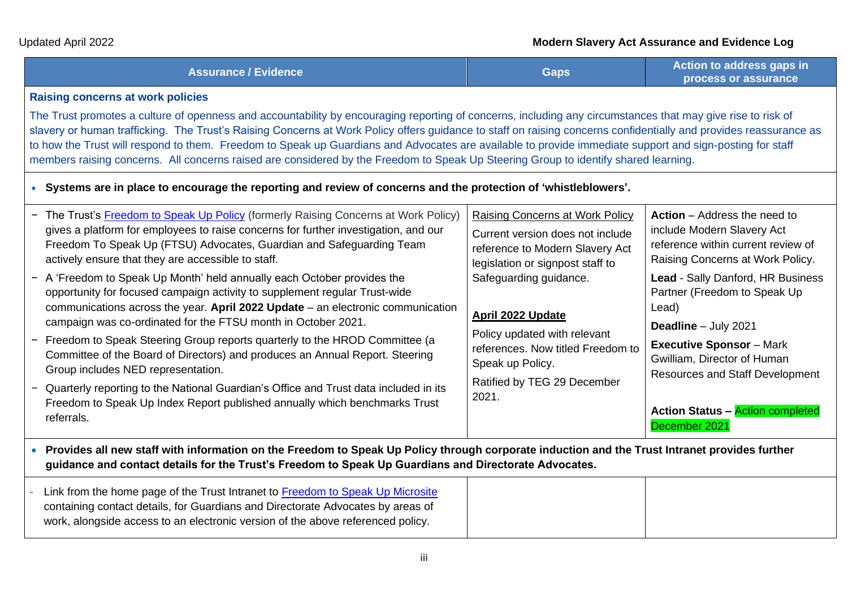# Updated April 2022 **Modern Slavery Act Assurance and Evidence Log**

| <b>Assurance / Evidence</b> | Gaps | Action to address gaps in<br>process or assurance |
|-----------------------------|------|---------------------------------------------------|
|                             |      |                                                   |

## **Raising concerns at work policies**

The Trust promotes a culture of openness and accountability by encouraging reporting of concerns, including any circumstances that may give rise to risk of slavery or human trafficking. The Trust's Raising Concerns at Work Policy offers guidance to staff on raising concerns confidentially and provides reassurance as to how the Trust will respond to them. Freedom to Speak up Guardians and Advocates are available to provide immediate support and sign-posting for staff members raising concerns. All concerns raised are considered by the Freedom to Speak Up Steering Group to identify shared learning.

• **Systems are in place to encourage the reporting and review of concerns and the protection of 'whistleblowers'.**

| - The Trust's Freedom to Speak Up Policy (formerly Raising Concerns at Work Policy)<br>gives a platform for employees to raise concerns for further investigation, and our<br>Freedom To Speak Up (FTSU) Advocates, Guardian and Safeguarding Team<br>actively ensure that they are accessible to staff.<br>- A 'Freedom to Speak Up Month' held annually each October provides the<br>opportunity for focused campaign activity to supplement regular Trust-wide<br>communications across the year. April 2022 Update $-$ an electronic communication<br>campaign was co-ordinated for the FTSU month in October 2021.<br>- Freedom to Speak Steering Group reports quarterly to the HROD Committee (a<br>Committee of the Board of Directors) and produces an Annual Report. Steering<br>Group includes NED representation.<br>- Quarterly reporting to the National Guardian's Office and Trust data included in its<br>Freedom to Speak Up Index Report published annually which benchmarks Trust<br>referrals. | Raising Concerns at Work Policy<br>Current version does not include<br>reference to Modern Slavery Act<br>legislation or signpost staff to<br>Safeguarding guidance.<br><b>April 2022 Update</b><br>Policy updated with relevant<br>references. Now titled Freedom to<br>Speak up Policy.<br>Ratified by TEG 29 December<br>2021. | <b>Action</b> – Address the need to<br>include Modern Slavery Act<br>reference within current review of<br>Raising Concerns at Work Policy.<br>Lead - Sally Danford, HR Business<br>Partner (Freedom to Speak Up<br>Lead)<br>Deadline - July 2021<br><b>Executive Sponsor</b> - Mark<br>Gwilliam, Director of Human<br><b>Resources and Staff Development</b><br><b>Action Status - Action completed</b><br>December 2021 |
|---------------------------------------------------------------------------------------------------------------------------------------------------------------------------------------------------------------------------------------------------------------------------------------------------------------------------------------------------------------------------------------------------------------------------------------------------------------------------------------------------------------------------------------------------------------------------------------------------------------------------------------------------------------------------------------------------------------------------------------------------------------------------------------------------------------------------------------------------------------------------------------------------------------------------------------------------------------------------------------------------------------------|-----------------------------------------------------------------------------------------------------------------------------------------------------------------------------------------------------------------------------------------------------------------------------------------------------------------------------------|---------------------------------------------------------------------------------------------------------------------------------------------------------------------------------------------------------------------------------------------------------------------------------------------------------------------------------------------------------------------------------------------------------------------------|
| • Provides all new staff with information on the Freedom to Speak Up Policy through corporate induction and the Trust Intranet provides further<br>guidance and contact details for the Trust's Freedom to Speak Up Guardians and Directorate Advocates.                                                                                                                                                                                                                                                                                                                                                                                                                                                                                                                                                                                                                                                                                                                                                            |                                                                                                                                                                                                                                                                                                                                   |                                                                                                                                                                                                                                                                                                                                                                                                                           |

| work, alongside access to an electronic version of the above referenced policy. |
|---------------------------------------------------------------------------------|
|                                                                                 |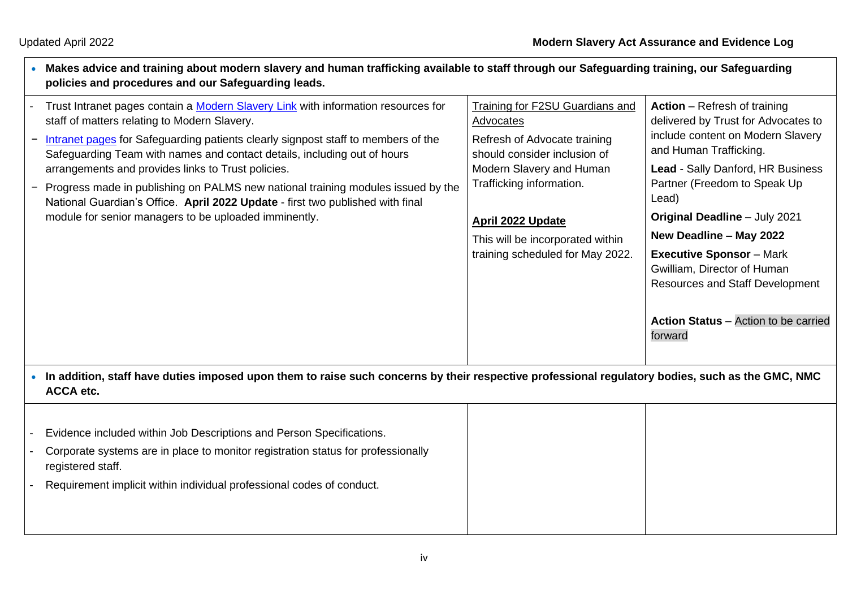$\Gamma$ 

registered staff.

| Makes advice and training about modern slavery and human trafficking available to staff through our Safeguarding training, our Safeguarding<br>policies and procedures and our Safeguarding leads.                                                                                                                                                                                                                                                                                                                                                                                      |                                                                                                                                                                                                                                                                          |                                                                                                                                                                                                                                                                                                                                                                                                                                                           |
|-----------------------------------------------------------------------------------------------------------------------------------------------------------------------------------------------------------------------------------------------------------------------------------------------------------------------------------------------------------------------------------------------------------------------------------------------------------------------------------------------------------------------------------------------------------------------------------------|--------------------------------------------------------------------------------------------------------------------------------------------------------------------------------------------------------------------------------------------------------------------------|-----------------------------------------------------------------------------------------------------------------------------------------------------------------------------------------------------------------------------------------------------------------------------------------------------------------------------------------------------------------------------------------------------------------------------------------------------------|
| Trust Intranet pages contain a Modern Slavery Link with information resources for<br>staff of matters relating to Modern Slavery.<br>Intranet pages for Safeguarding patients clearly signpost staff to members of the<br>Safeguarding Team with names and contact details, including out of hours<br>arrangements and provides links to Trust policies.<br>Progress made in publishing on PALMS new national training modules issued by the<br>National Guardian's Office. April 2022 Update - first two published with final<br>module for senior managers to be uploaded imminently. | <b>Training for F2SU Guardians and</b><br>Advocates<br>Refresh of Advocate training<br>should consider inclusion of<br>Modern Slavery and Human<br>Trafficking information.<br>April 2022 Update<br>This will be incorporated within<br>training scheduled for May 2022. | <b>Action</b> – Refresh of training<br>delivered by Trust for Advocates to<br>include content on Modern Slavery<br>and Human Trafficking.<br>Lead - Sally Danford, HR Business<br>Partner (Freedom to Speak Up<br>Lead)<br>Original Deadline - July 2021<br>New Deadline - May 2022<br><b>Executive Sponsor</b> - Mark<br>Gwilliam, Director of Human<br><b>Resources and Staff Development</b><br><b>Action Status</b> – Action to be carried<br>forward |
| • In addition, staff have duties imposed upon them to raise such concerns by their respective professional regulatory bodies, such as the GMC, NMC<br><b>ACCA</b> etc.                                                                                                                                                                                                                                                                                                                                                                                                                  |                                                                                                                                                                                                                                                                          |                                                                                                                                                                                                                                                                                                                                                                                                                                                           |
| Evidence included within Job Descriptions and Person Specifications.<br>Corporate systems are in place to monitor registration status for professionally                                                                                                                                                                                                                                                                                                                                                                                                                                |                                                                                                                                                                                                                                                                          |                                                                                                                                                                                                                                                                                                                                                                                                                                                           |

- Requirement implicit within individual professional codes of conduct.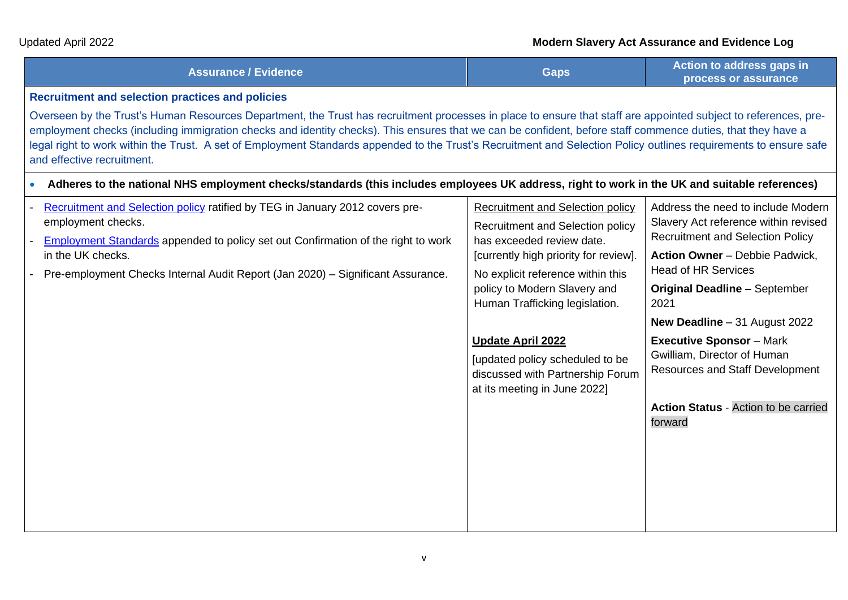| <b>Assurance / Evidence</b> | Gaps | Action to address gaps in<br>process or assurance |
|-----------------------------|------|---------------------------------------------------|
|-----------------------------|------|---------------------------------------------------|

### **Recruitment and selection practices and policies**

Overseen by the Trust's Human Resources Department, the Trust has recruitment processes in place to ensure that staff are appointed subject to references, preemployment checks (including immigration checks and identity checks). This ensures that we can be confident, before staff commence duties, that they have a legal right to work within the Trust. A set of Employment Standards appended to the Trust's Recruitment and Selection Policy outlines requirements to ensure safe and effective recruitment.

• **Adheres to the national NHS employment checks/standards (this includes employees UK address, right to work in the UK and suitable references)**

| Recruitment and Selection policy ratified by TEG in January 2012 covers pre-<br>employment checks.<br><b>Employment Standards appended to policy set out Confirmation of the right to work</b> | <b>Recruitment and Selection policy</b><br>Recruitment and Selection policy<br>has exceeded review date.                        | Address the need to include Modern<br>Slavery Act reference within revised<br><b>Recruitment and Selection Policy</b> |
|------------------------------------------------------------------------------------------------------------------------------------------------------------------------------------------------|---------------------------------------------------------------------------------------------------------------------------------|-----------------------------------------------------------------------------------------------------------------------|
| in the UK checks.<br>Pre-employment Checks Internal Audit Report (Jan 2020) - Significant Assurance.                                                                                           | [currently high priority for review].<br>No explicit reference within this                                                      | <b>Action Owner</b> – Debbie Padwick,<br><b>Head of HR Services</b>                                                   |
|                                                                                                                                                                                                | policy to Modern Slavery and<br>Human Trafficking legislation.                                                                  | <b>Original Deadline - September</b><br>2021                                                                          |
|                                                                                                                                                                                                |                                                                                                                                 | New Deadline - 31 August 2022                                                                                         |
|                                                                                                                                                                                                | <b>Update April 2022</b><br>[updated policy scheduled to be<br>discussed with Partnership Forum<br>at its meeting in June 2022] | <b>Executive Sponsor - Mark</b><br>Gwilliam, Director of Human<br><b>Resources and Staff Development</b>              |
|                                                                                                                                                                                                |                                                                                                                                 | <b>Action Status - Action to be carried</b><br>forward                                                                |
|                                                                                                                                                                                                |                                                                                                                                 |                                                                                                                       |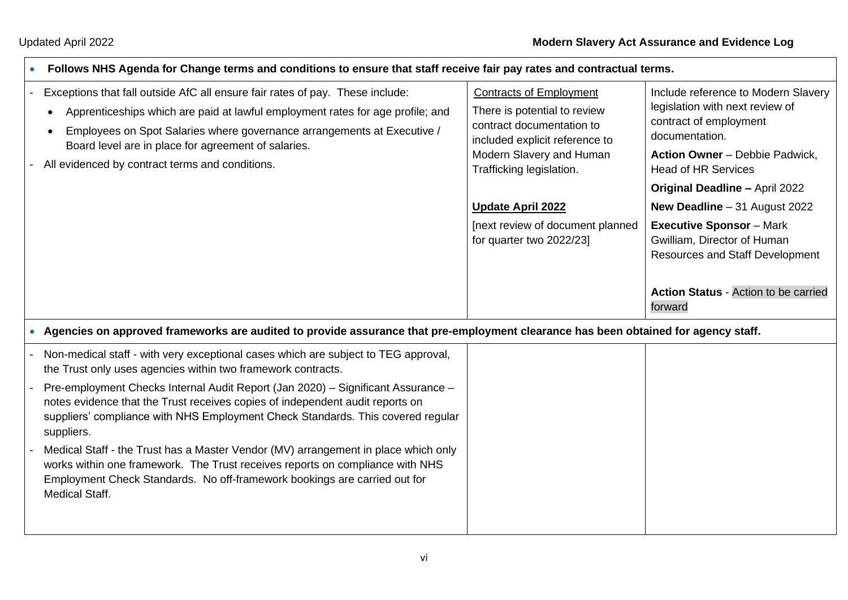Medical Staff.

| Follows NHS Agenda for Change terms and conditions to ensure that staff receive fair pay rates and contractual terms.                                                                                                                                                                                  |                                                                                                                               |                                                                                                                    |
|--------------------------------------------------------------------------------------------------------------------------------------------------------------------------------------------------------------------------------------------------------------------------------------------------------|-------------------------------------------------------------------------------------------------------------------------------|--------------------------------------------------------------------------------------------------------------------|
| Exceptions that fall outside AfC all ensure fair rates of pay. These include:<br>Apprenticeships which are paid at lawful employment rates for age profile; and<br>٠<br>Employees on Spot Salaries where governance arrangements at Executive /<br>Board level are in place for agreement of salaries. | <b>Contracts of Employment</b><br>There is potential to review<br>contract documentation to<br>included explicit reference to | Include reference to Modern Slavery<br>legislation with next review of<br>contract of employment<br>documentation. |
| All evidenced by contract terms and conditions.                                                                                                                                                                                                                                                        | Modern Slavery and Human<br>Trafficking legislation.                                                                          | Action Owner - Debbie Padwick,<br><b>Head of HR Services</b>                                                       |
|                                                                                                                                                                                                                                                                                                        |                                                                                                                               | <b>Original Deadline - April 2022</b>                                                                              |
|                                                                                                                                                                                                                                                                                                        | <b>Update April 2022</b>                                                                                                      | New Deadline $-31$ August 2022                                                                                     |
|                                                                                                                                                                                                                                                                                                        | [next review of document planned<br>for quarter two 2022/23]                                                                  | <b>Executive Sponsor</b> - Mark<br>Gwilliam, Director of Human<br><b>Resources and Staff Development</b>           |
|                                                                                                                                                                                                                                                                                                        |                                                                                                                               | <b>Action Status - Action to be carried</b><br>forward                                                             |
| • Agencies on approved frameworks are audited to provide assurance that pre-employment clearance has been obtained for agency staff.                                                                                                                                                                   |                                                                                                                               |                                                                                                                    |
| Non-medical staff - with very exceptional cases which are subject to TEG approval,<br>the Trust only uses agencies within two framework contracts.                                                                                                                                                     |                                                                                                                               |                                                                                                                    |
| Pre-employment Checks Internal Audit Report (Jan 2020) – Significant Assurance –<br>notes evidence that the Trust receives copies of independent audit reports on<br>suppliers' compliance with NHS Employment Check Standards. This covered regular<br>suppliers.                                     |                                                                                                                               |                                                                                                                    |
| Medical Staff - the Trust has a Master Vendor (MV) arrangement in place which only<br>works within one framework. The Trust receives reports on compliance with NHS<br>Employment Check Standards. No off-framework bookings are carried out for                                                       |                                                                                                                               |                                                                                                                    |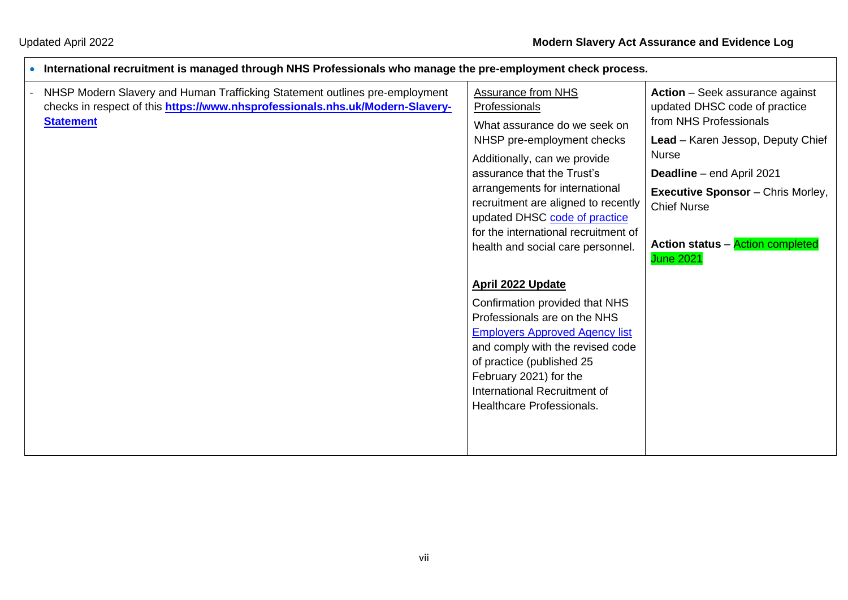٦

| $\bullet$ | -International recruitment is managed through NHS Professionals who manage the pre-employment check process.                                                 |                                                                                                                                                                                                              |                                                                         |
|-----------|--------------------------------------------------------------------------------------------------------------------------------------------------------------|--------------------------------------------------------------------------------------------------------------------------------------------------------------------------------------------------------------|-------------------------------------------------------------------------|
|           | NHSP Modern Slavery and Human Trafficking Statement outlines pre-employment<br>checks in respect of this https://www.nhsprofessionals.nhs.uk/Modern-Slavery- | <b>Assurance from NHS</b><br>Professionals                                                                                                                                                                   | <b>Action</b> – Seek assurance against<br>updated DHSC code of practice |
|           | <b>Statement</b>                                                                                                                                             | What assurance do we seek on<br>NHSP pre-employment checks                                                                                                                                                   | from NHS Professionals<br>Lead - Karen Jessop, Deputy Chief             |
|           |                                                                                                                                                              | Additionally, can we provide<br>assurance that the Trust's<br>arrangements for international<br>recruitment are aligned to recently<br>updated DHSC code of practice<br>for the international recruitment of | <b>Nurse</b><br><b>Deadline</b> – end April 2021                        |
|           |                                                                                                                                                              |                                                                                                                                                                                                              | <b>Executive Sponsor</b> - Chris Morley,<br><b>Chief Nurse</b>          |
|           |                                                                                                                                                              | health and social care personnel.                                                                                                                                                                            | <b>Action status - Action completed</b><br><b>June 2021</b>             |
|           |                                                                                                                                                              | April 2022 Update                                                                                                                                                                                            |                                                                         |
|           |                                                                                                                                                              | Confirmation provided that NHS<br>Professionals are on the NHS                                                                                                                                               |                                                                         |
|           |                                                                                                                                                              | <b>Employers Approved Agency list</b><br>and comply with the revised code<br>of practice (published 25                                                                                                       |                                                                         |
|           |                                                                                                                                                              | February 2021) for the<br>International Recruitment of                                                                                                                                                       |                                                                         |
|           |                                                                                                                                                              | <b>Healthcare Professionals.</b>                                                                                                                                                                             |                                                                         |
|           |                                                                                                                                                              |                                                                                                                                                                                                              |                                                                         |
|           |                                                                                                                                                              |                                                                                                                                                                                                              |                                                                         |

#### • **International recruitment is managed through NHS Professionals who manage the pre-employment check process.**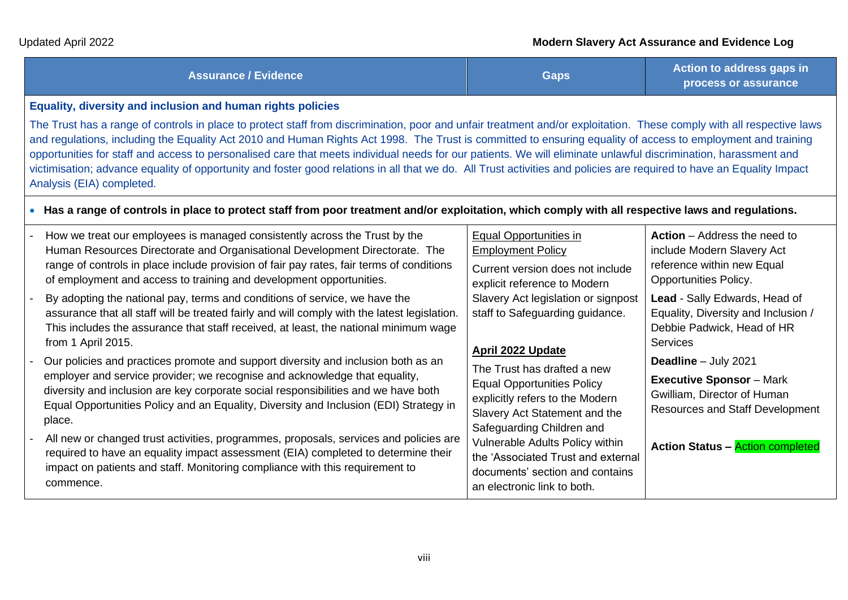| <b>Assurance / Evidence</b> | Gaps | Action to address gaps in<br>process or assurance |
|-----------------------------|------|---------------------------------------------------|
|-----------------------------|------|---------------------------------------------------|

#### **Equality, diversity and inclusion and human rights policies**

The Trust has a range of controls in place to protect staff from discrimination, poor and unfair treatment and/or exploitation. These comply with all respective laws and regulations, including the Equality Act 2010 and Human Rights Act 1998. The Trust is committed to ensuring equality of access to employment and training opportunities for staff and access to personalised care that meets individual needs for our patients. We will eliminate unlawful discrimination, harassment and victimisation; advance equality of opportunity and foster good relations in all that we do. All Trust activities and policies are required to have an Equality Impact Analysis (EIA) completed.

## • **Has a range of controls in place to protect staff from poor treatment and/or exploitation, which comply with all respective laws and regulations.**

- How we treat our employees is managed consistently across the Trust by the Human Resources Directorate and Organisational Development Directorate. The range of controls in place include provision of fair pay rates, fair terms of conditions of employment and access to training and development opportunities. By adopting the national pay, terms and conditions of service, we have the assurance that all staff will be treated fairly and will comply with the latest legislation. This includes the assurance that staff received, at least, the national minimum wage from 1 April 2015. Our policies and practices promote and support diversity and inclusion both as an Equal Opportunities in Employment Policy explicit reference to Modern **April 2022 Update**
	- employer and service provider; we recognise and acknowledge that equality, diversity and inclusion are key corporate social responsibilities and we have both Equal Opportunities Policy and an Equality, Diversity and Inclusion (EDI) Strategy in place.
	- All new or changed trust activities, programmes, proposals, services and policies are required to have an equality impact assessment (EIA) completed to determine their impact on patients and staff. Monitoring compliance with this requirement to commence.

Current version does not include Slavery Act legislation or signpost staff to Safeguarding guidance.

The Trust has drafted a new Equal Opportunities Policy explicitly refers to the [Modern](https://www.sth.nhs.uk/about-us/modern-slavery-act-statement)  [Slavery Act Statement](https://www.sth.nhs.uk/about-us/modern-slavery-act-statement) and the [Safeguarding Children and](http://nww.sth.nhs.uk/NHS/SafeguardingPatients/)  [Vulnerable Adults Policy](http://nww.sth.nhs.uk/NHS/SafeguardingPatients/) within the 'Associated Trust and external documents' section and contains an electronic link to both.

**Action** – Address the need to include Modern Slavery Act reference within new Equal Opportunities Policy. **Lead** - Sally Edwards, Head of Equality, Diversity and Inclusion /

Debbie Padwick, Head of HR **Services** 

**Deadline** – July 2021

**Executive Sponsor** – Mark Gwilliam, Director of Human Resources and Staff Development

**Action Status –** Action completed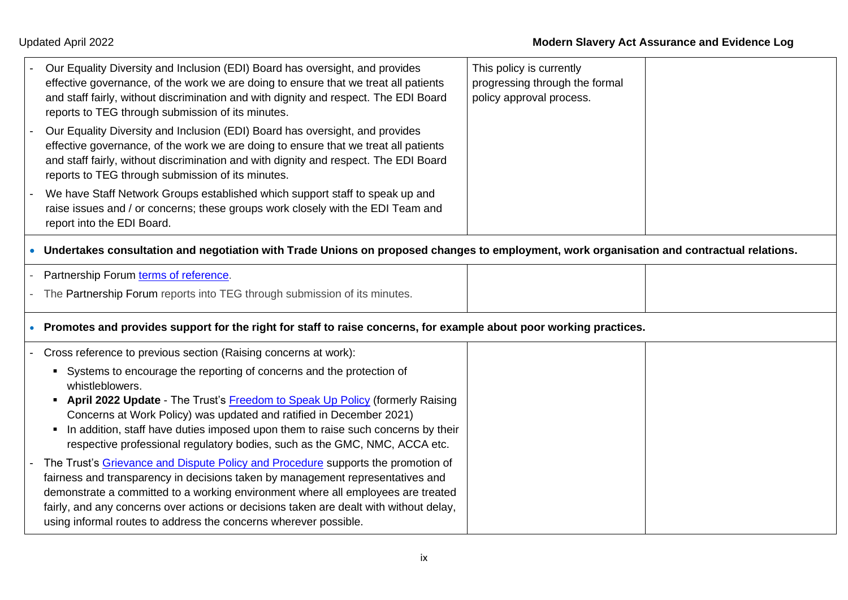| Our Equality Diversity and Inclusion (EDI) Board has oversight, and provides<br>effective governance, of the work we are doing to ensure that we treat all patients<br>and staff fairly, without discrimination and with dignity and respect. The EDI Board<br>reports to TEG through submission of its minutes.                                                                                                     | This policy is currently<br>progressing through the formal<br>policy approval process. |  |
|----------------------------------------------------------------------------------------------------------------------------------------------------------------------------------------------------------------------------------------------------------------------------------------------------------------------------------------------------------------------------------------------------------------------|----------------------------------------------------------------------------------------|--|
| Our Equality Diversity and Inclusion (EDI) Board has oversight, and provides<br>effective governance, of the work we are doing to ensure that we treat all patients<br>and staff fairly, without discrimination and with dignity and respect. The EDI Board<br>reports to TEG through submission of its minutes.                                                                                                     |                                                                                        |  |
| We have Staff Network Groups established which support staff to speak up and<br>raise issues and / or concerns; these groups work closely with the EDI Team and<br>report into the EDI Board.                                                                                                                                                                                                                        |                                                                                        |  |
| Undertakes consultation and negotiation with Trade Unions on proposed changes to employment, work organisation and contractual relations.                                                                                                                                                                                                                                                                            |                                                                                        |  |
| Partnership Forum terms of reference.                                                                                                                                                                                                                                                                                                                                                                                |                                                                                        |  |
| The Partnership Forum reports into TEG through submission of its minutes.                                                                                                                                                                                                                                                                                                                                            |                                                                                        |  |
| Promotes and provides support for the right for staff to raise concerns, for example about poor working practices.                                                                                                                                                                                                                                                                                                   |                                                                                        |  |
| Cross reference to previous section (Raising concerns at work):                                                                                                                                                                                                                                                                                                                                                      |                                                                                        |  |
| • Systems to encourage the reporting of concerns and the protection of<br>whistleblowers.<br>• April 2022 Update - The Trust's Freedom to Speak Up Policy (formerly Raising                                                                                                                                                                                                                                          |                                                                                        |  |
| Concerns at Work Policy) was updated and ratified in December 2021)<br>• In addition, staff have duties imposed upon them to raise such concerns by their<br>respective professional regulatory bodies, such as the GMC, NMC, ACCA etc.                                                                                                                                                                              |                                                                                        |  |
| The Trust's Grievance and Dispute Policy and Procedure supports the promotion of<br>fairness and transparency in decisions taken by management representatives and<br>demonstrate a committed to a working environment where all employees are treated<br>fairly, and any concerns over actions or decisions taken are dealt with without delay,<br>using informal routes to address the concerns wherever possible. |                                                                                        |  |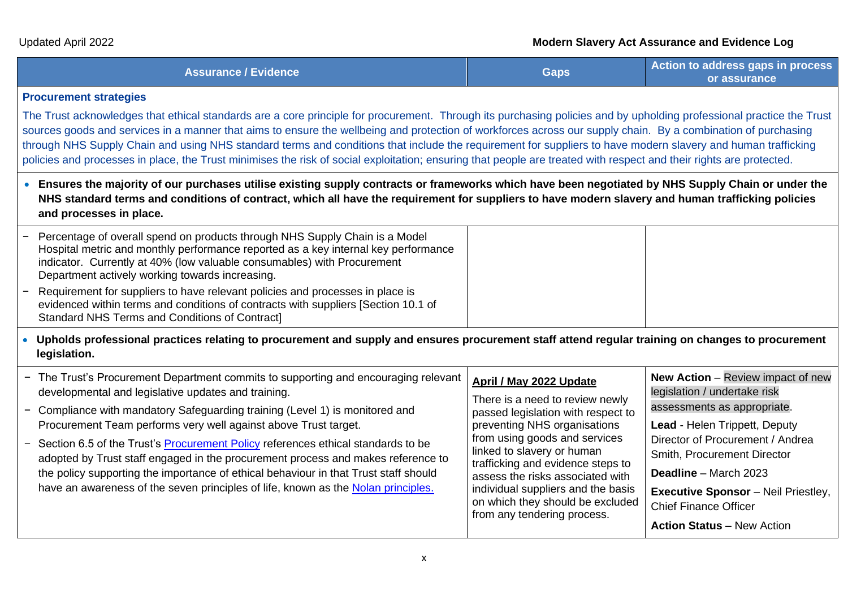| <b>Assurance / Evidence</b> | Gaps | Action to address gaps in process<br>or assurance |
|-----------------------------|------|---------------------------------------------------|
|-----------------------------|------|---------------------------------------------------|

#### **Procurement strategies**

The Trust acknowledges that ethical standards are a core principle for procurement. Through its purchasing policies and by upholding professional practice the Trust sources goods and services in a manner that aims to ensure the wellbeing and protection of workforces across our supply chain. By a combination of purchasing through NHS Supply Chain and using NHS standard terms and conditions that include the requirement for suppliers to have modern slavery and human trafficking policies and processes in place, the Trust minimises the risk of social exploitation; ensuring that people are treated with respect and their rights are protected.

• **Ensures the majority of our purchases utilise existing supply contracts or frameworks which have been negotiated by NHS Supply Chain or under the NHS standard terms and conditions of contract, which all have the requirement for suppliers to have modern slavery and human trafficking policies and processes in place.**

| - Percentage of overall spend on products through NHS Supply Chain is a Model<br>Hospital metric and monthly performance reported as a key internal key performance<br>indicator. Currently at 40% (low valuable consumables) with Procurement<br>Department actively working towards increasing. |  |
|---------------------------------------------------------------------------------------------------------------------------------------------------------------------------------------------------------------------------------------------------------------------------------------------------|--|
| - Requirement for suppliers to have relevant policies and processes in place is<br>evidenced within terms and conditions of contracts with suppliers [Section 10.1 of<br>Standard NHS Terms and Conditions of Contract]                                                                           |  |

• **Upholds professional practices relating to procurement and supply and ensures procurement staff attend regular training on changes to procurement legislation.**

| from any tendering process.<br><b>Action Status - New Action</b> | - The Trust's Procurement Department commits to supporting and encouraging relevant<br>developmental and legislative updates and training.<br>- Compliance with mandatory Safeguarding training (Level 1) is monitored and<br>Procurement Team performs very well against above Trust target.<br>- Section 6.5 of the Trust's <b>Procurement Policy</b> references ethical standards to be<br>adopted by Trust staff engaged in the procurement process and makes reference to<br>the policy supporting the importance of ethical behaviour in that Trust staff should<br>have an awareness of the seven principles of life, known as the Nolan principles. | April / May 2022 Update<br>There is a need to review newly<br>passed legislation with respect to<br>preventing NHS organisations<br>from using goods and services<br>linked to slavery or human<br>trafficking and evidence steps to<br>assess the risks associated with<br>individual suppliers and the basis<br>on which they should be excluded | <b>New Action</b> – Review impact of new<br>legislation / undertake risk<br>assessments as appropriate.<br>Lead - Helen Trippett, Deputy<br>Director of Procurement / Andrea<br>Smith, Procurement Director<br><b>Deadline</b> – March 2023<br><b>Executive Sponsor</b> - Neil Priestley,<br><b>Chief Finance Officer</b> |
|------------------------------------------------------------------|-------------------------------------------------------------------------------------------------------------------------------------------------------------------------------------------------------------------------------------------------------------------------------------------------------------------------------------------------------------------------------------------------------------------------------------------------------------------------------------------------------------------------------------------------------------------------------------------------------------------------------------------------------------|----------------------------------------------------------------------------------------------------------------------------------------------------------------------------------------------------------------------------------------------------------------------------------------------------------------------------------------------------|---------------------------------------------------------------------------------------------------------------------------------------------------------------------------------------------------------------------------------------------------------------------------------------------------------------------------|
|------------------------------------------------------------------|-------------------------------------------------------------------------------------------------------------------------------------------------------------------------------------------------------------------------------------------------------------------------------------------------------------------------------------------------------------------------------------------------------------------------------------------------------------------------------------------------------------------------------------------------------------------------------------------------------------------------------------------------------------|----------------------------------------------------------------------------------------------------------------------------------------------------------------------------------------------------------------------------------------------------------------------------------------------------------------------------------------------------|---------------------------------------------------------------------------------------------------------------------------------------------------------------------------------------------------------------------------------------------------------------------------------------------------------------------------|